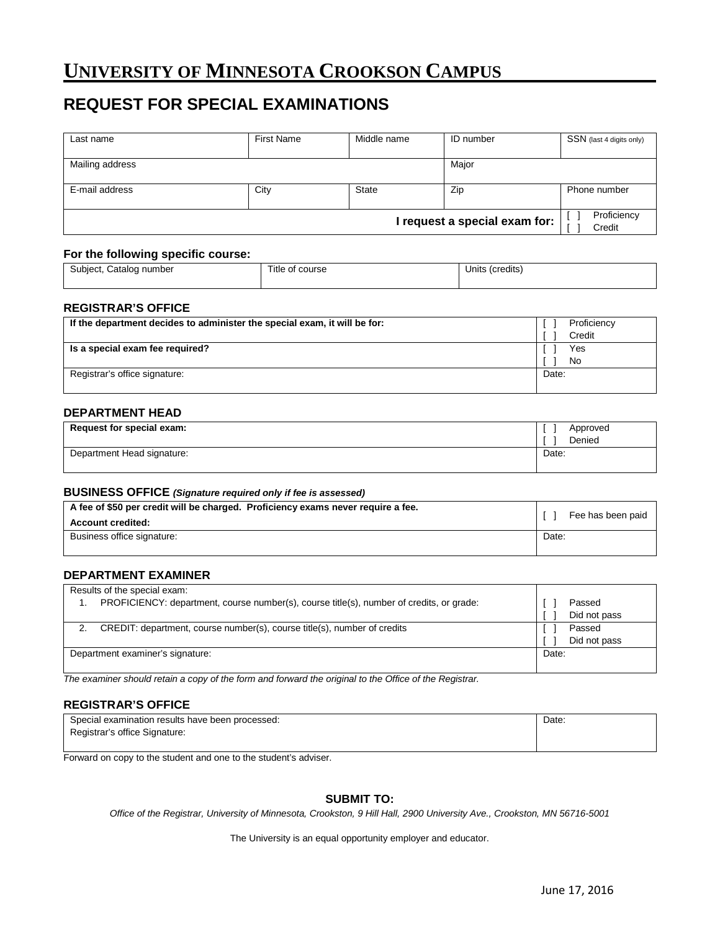# **UNIVERSITY OF MINNESOTA CROOKSON CAMPUS**

# **REQUEST FOR SPECIAL EXAMINATIONS**

| Last name       | <b>First Name</b> | Middle name  | ID number                     | SSN (last 4 digits only) |
|-----------------|-------------------|--------------|-------------------------------|--------------------------|
| Mailing address |                   |              | Major                         |                          |
| E-mail address  | City              | <b>State</b> | Zip                           | Phone number             |
|                 |                   |              | I request a special exam for: | Proficiency<br>Credit    |

#### **For the following specific course:**

| Subject,<br>Catalog<br>ı number<br>. . | Γitle<br>course<br>∩t<br>. | $\cdots$<br>(credits<br>∪nits ′<br>$\sim$ $\sim$ |
|----------------------------------------|----------------------------|--------------------------------------------------|
|                                        |                            |                                                  |

#### **REGISTRAR'S OFFICE**

| If the department decides to administer the special exam, it will be for: | Proficiency |
|---------------------------------------------------------------------------|-------------|
|                                                                           | Credit      |
| Is a special exam fee required?                                           | Yes         |
|                                                                           | No          |
| Registrar's office signature:                                             | Date:       |
|                                                                           |             |

## **DEPARTMENT HEAD**

| Request for special exam:  | Approved<br>Denied |
|----------------------------|--------------------|
| Department Head signature: | Date:              |

#### **BUSINESS OFFICE** *(Signature required only if fee is assessed)*

| A fee of \$50 per credit will be charged. Proficiency exams never require a fee.<br><b>Account credited:</b> | Fee has been paid |
|--------------------------------------------------------------------------------------------------------------|-------------------|
| Business office signature:                                                                                   | Date:             |

## **DEPARTMENT EXAMINER**

| Results of the special exam:                                                             |              |
|------------------------------------------------------------------------------------------|--------------|
| PROFICIENCY: department, course number(s), course title(s), number of credits, or grade: | Passed       |
|                                                                                          | Did not pass |
| CREDIT: department, course number(s), course title(s), number of credits                 | Passed       |
|                                                                                          | Did not pass |
| Department examiner's signature:                                                         | Date:        |
|                                                                                          |              |

*The examiner should retain a copy of the form and forward the original to the Office of the Registrar.*

### **REGISTRAR'S OFFICE**

| Special examination results have been processed: | Date: |
|--------------------------------------------------|-------|
| Registrar's office Signature:                    |       |
|                                                  |       |

Forward on copy to the student and one to the student's adviser.

### **SUBMIT TO:**

*Office of the Registrar, University of Minnesota, Crookston, 9 Hill Hall, 2900 University Ave., Crookston, MN 56716-5001*

The University is an equal opportunity employer and educator.